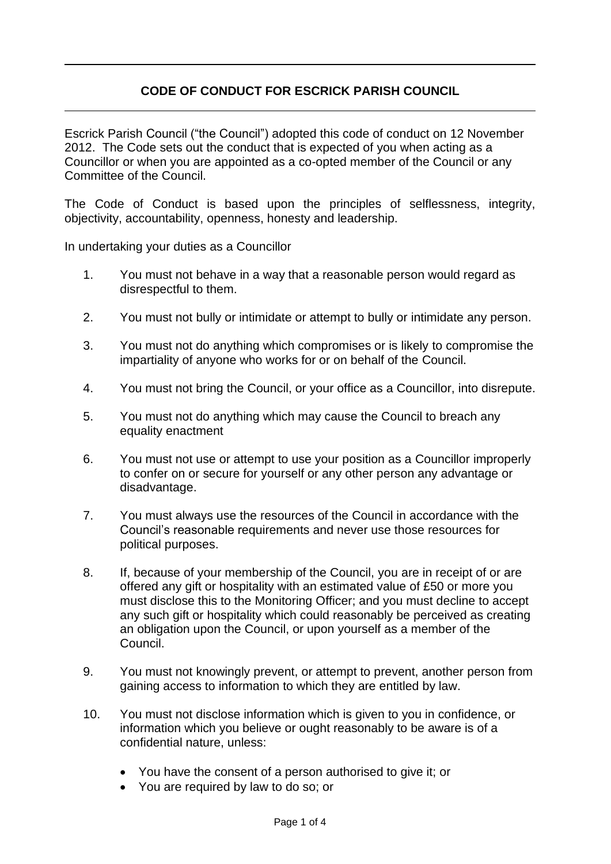## **CODE OF CONDUCT FOR ESCRICK PARISH COUNCIL**

Escrick Parish Council ("the Council") adopted this code of conduct on 12 November 2012. The Code sets out the conduct that is expected of you when acting as a Councillor or when you are appointed as a co-opted member of the Council or any Committee of the Council.

The Code of Conduct is based upon the principles of selflessness, integrity, objectivity, accountability, openness, honesty and leadership.

In undertaking your duties as a Councillor

- 1. You must not behave in a way that a reasonable person would regard as disrespectful to them.
- 2. You must not bully or intimidate or attempt to bully or intimidate any person.
- 3. You must not do anything which compromises or is likely to compromise the impartiality of anyone who works for or on behalf of the Council.
- 4. You must not bring the Council, or your office as a Councillor, into disrepute.
- 5. You must not do anything which may cause the Council to breach any equality enactment
- 6. You must not use or attempt to use your position as a Councillor improperly to confer on or secure for yourself or any other person any advantage or disadvantage.
- 7. You must always use the resources of the Council in accordance with the Council's reasonable requirements and never use those resources for political purposes.
- 8. If, because of your membership of the Council, you are in receipt of or are offered any gift or hospitality with an estimated value of £50 or more you must disclose this to the Monitoring Officer; and you must decline to accept any such gift or hospitality which could reasonably be perceived as creating an obligation upon the Council, or upon yourself as a member of the Council.
- 9. You must not knowingly prevent, or attempt to prevent, another person from gaining access to information to which they are entitled by law.
- 10. You must not disclose information which is given to you in confidence, or information which you believe or ought reasonably to be aware is of a confidential nature, unless:
	- You have the consent of a person authorised to give it; or
	- You are required by law to do so; or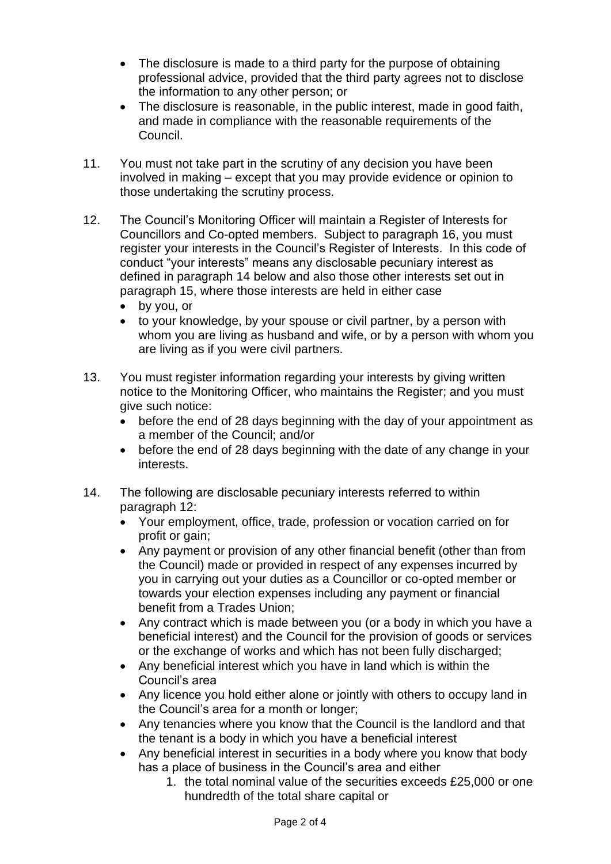- The disclosure is made to a third party for the purpose of obtaining professional advice, provided that the third party agrees not to disclose the information to any other person; or
- The disclosure is reasonable, in the public interest, made in good faith, and made in compliance with the reasonable requirements of the Council.
- 11. You must not take part in the scrutiny of any decision you have been involved in making – except that you may provide evidence or opinion to those undertaking the scrutiny process.
- 12. The Council's Monitoring Officer will maintain a Register of Interests for Councillors and Co-opted members. Subject to paragraph 16, you must register your interests in the Council's Register of Interests. In this code of conduct "your interests" means any disclosable pecuniary interest as defined in paragraph 14 below and also those other interests set out in paragraph 15, where those interests are held in either case
	- by you, or
	- to your knowledge, by your spouse or civil partner, by a person with whom you are living as husband and wife, or by a person with whom you are living as if you were civil partners.
- 13. You must register information regarding your interests by giving written notice to the Monitoring Officer, who maintains the Register; and you must give such notice:
	- before the end of 28 days beginning with the day of your appointment as a member of the Council; and/or
	- before the end of 28 days beginning with the date of any change in your interests.
- 14. The following are disclosable pecuniary interests referred to within paragraph 12:
	- Your employment, office, trade, profession or vocation carried on for profit or gain;
	- Any payment or provision of any other financial benefit (other than from the Council) made or provided in respect of any expenses incurred by you in carrying out your duties as a Councillor or co-opted member or towards your election expenses including any payment or financial benefit from a Trades Union;
	- Any contract which is made between you (or a body in which you have a beneficial interest) and the Council for the provision of goods or services or the exchange of works and which has not been fully discharged;
	- Any beneficial interest which you have in land which is within the Council's area
	- Any licence you hold either alone or jointly with others to occupy land in the Council's area for a month or longer;
	- Any tenancies where you know that the Council is the landlord and that the tenant is a body in which you have a beneficial interest
	- Any beneficial interest in securities in a body where you know that body has a place of business in the Council's area and either
		- 1. the total nominal value of the securities exceeds £25,000 or one hundredth of the total share capital or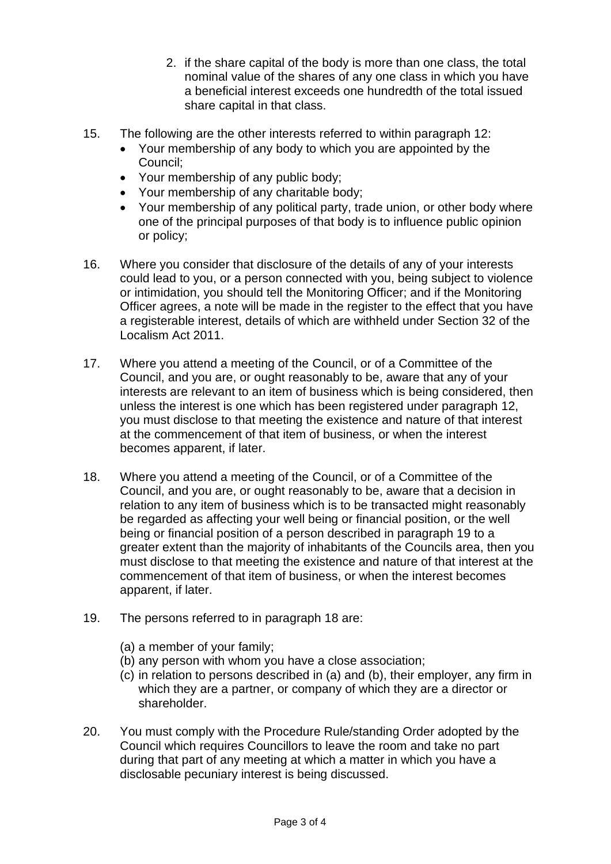- 2. if the share capital of the body is more than one class, the total nominal value of the shares of any one class in which you have a beneficial interest exceeds one hundredth of the total issued share capital in that class.
- 15. The following are the other interests referred to within paragraph 12:
	- Your membership of any body to which you are appointed by the Council;
	- Your membership of any public body;
	- Your membership of any charitable body;
	- Your membership of any political party, trade union, or other body where one of the principal purposes of that body is to influence public opinion or policy;
- 16. Where you consider that disclosure of the details of any of your interests could lead to you, or a person connected with you, being subject to violence or intimidation, you should tell the Monitoring Officer; and if the Monitoring Officer agrees, a note will be made in the register to the effect that you have a registerable interest, details of which are withheld under Section 32 of the Localism Act 2011.
- 17. Where you attend a meeting of the Council, or of a Committee of the Council, and you are, or ought reasonably to be, aware that any of your interests are relevant to an item of business which is being considered, then unless the interest is one which has been registered under paragraph 12, you must disclose to that meeting the existence and nature of that interest at the commencement of that item of business, or when the interest becomes apparent, if later.
- 18. Where you attend a meeting of the Council, or of a Committee of the Council, and you are, or ought reasonably to be, aware that a decision in relation to any item of business which is to be transacted might reasonably be regarded as affecting your well being or financial position, or the well being or financial position of a person described in paragraph 19 to a greater extent than the majority of inhabitants of the Councils area, then you must disclose to that meeting the existence and nature of that interest at the commencement of that item of business, or when the interest becomes apparent, if later.
- 19. The persons referred to in paragraph 18 are:
	- (a) a member of your family;
	- (b) any person with whom you have a close association;
	- (c) in relation to persons described in (a) and (b), their employer, any firm in which they are a partner, or company of which they are a director or shareholder.
- 20. You must comply with the Procedure Rule/standing Order adopted by the Council which requires Councillors to leave the room and take no part during that part of any meeting at which a matter in which you have a disclosable pecuniary interest is being discussed.